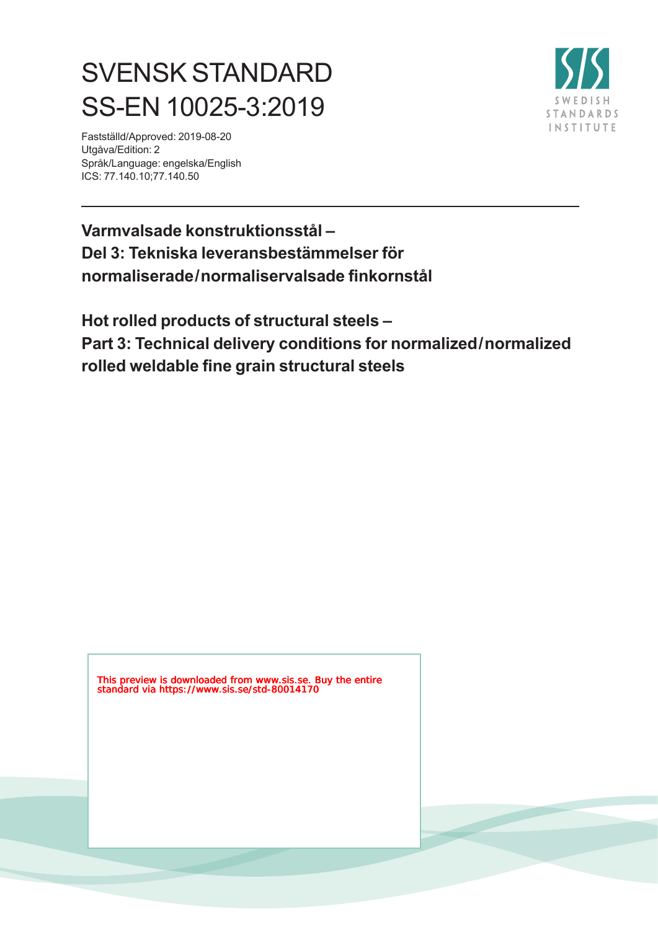# SVENSK STANDARD SS-EN 10025-3:2019



Fastställd/Approved: 2019-08-20 Utgåva/Edition: 2 Språk/Language: engelska/English ICS: 77.140.10;77.140.50

**Varmvalsade konstruktionsstål – Del 3: Tekniska leveransbestämmelser för normaliserade / normaliservalsade finkornstål**

**Hot rolled products of structural steels – Part 3: Technical delivery conditions for normalized / normalized rolled weldable fine grain structural steels**

This preview is downloaded from www.sis.se. Buy the entire standard via https://www.sis.se/std-80014170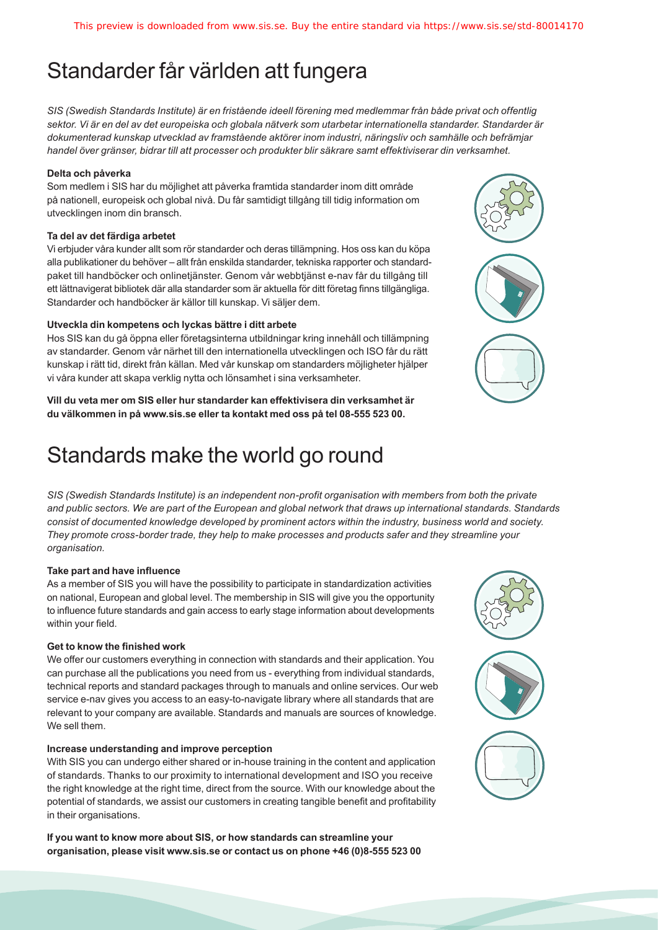## Standarder får världen att fungera

*SIS (Swedish Standards Institute) är en fristående ideell förening med medlemmar från både privat och offentlig sektor. Vi är en del av det europeiska och globala nätverk som utarbetar internationella standarder. Standarder är dokumenterad kunskap utvecklad av framstående aktörer inom industri, näringsliv och samhälle och befrämjar handel över gränser, bidrar till att processer och produkter blir säkrare samt effektiviserar din verksamhet.* 

#### **Delta och påverka**

Som medlem i SIS har du möjlighet att påverka framtida standarder inom ditt område på nationell, europeisk och global nivå. Du får samtidigt tillgång till tidig information om utvecklingen inom din bransch.

#### **Ta del av det färdiga arbetet**

Vi erbjuder våra kunder allt som rör standarder och deras tillämpning. Hos oss kan du köpa alla publikationer du behöver – allt från enskilda standarder, tekniska rapporter och standardpaket till handböcker och onlinetjänster. Genom vår webbtjänst e-nav får du tillgång till ett lättnavigerat bibliotek där alla standarder som är aktuella för ditt företag finns tillgängliga. Standarder och handböcker är källor till kunskap. Vi säljer dem.

#### **Utveckla din kompetens och lyckas bättre i ditt arbete**

Hos SIS kan du gå öppna eller företagsinterna utbildningar kring innehåll och tillämpning av standarder. Genom vår närhet till den internationella utvecklingen och ISO får du rätt kunskap i rätt tid, direkt från källan. Med vår kunskap om standarders möjligheter hjälper vi våra kunder att skapa verklig nytta och lönsamhet i sina verksamheter.

**Vill du veta mer om SIS eller hur standarder kan effektivisera din verksamhet är du välkommen in på www.sis.se eller ta kontakt med oss på tel 08-555 523 00.**

## Standards make the world go round

*SIS (Swedish Standards Institute) is an independent non-profit organisation with members from both the private and public sectors. We are part of the European and global network that draws up international standards. Standards consist of documented knowledge developed by prominent actors within the industry, business world and society. They promote cross-border trade, they help to make processes and products safer and they streamline your organisation.*

#### **Take part and have influence**

As a member of SIS you will have the possibility to participate in standardization activities on national, European and global level. The membership in SIS will give you the opportunity to influence future standards and gain access to early stage information about developments within your field.

#### **Get to know the finished work**

We offer our customers everything in connection with standards and their application. You can purchase all the publications you need from us - everything from individual standards, technical reports and standard packages through to manuals and online services. Our web service e-nav gives you access to an easy-to-navigate library where all standards that are relevant to your company are available. Standards and manuals are sources of knowledge. We sell them.

#### **Increase understanding and improve perception**

With SIS you can undergo either shared or in-house training in the content and application of standards. Thanks to our proximity to international development and ISO you receive the right knowledge at the right time, direct from the source. With our knowledge about the potential of standards, we assist our customers in creating tangible benefit and profitability in their organisations.

**If you want to know more about SIS, or how standards can streamline your organisation, please visit www.sis.se or contact us on phone +46 (0)8-555 523 00**



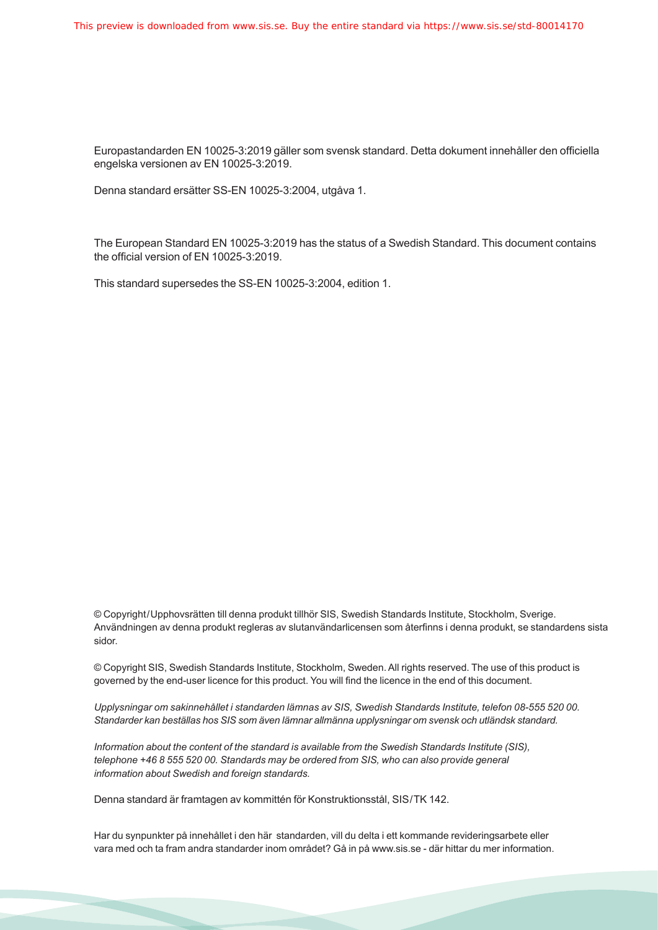Europastandarden EN 10025-3:2019 gäller som svensk standard. Detta dokument innehåller den officiella engelska versionen av EN 10025-3:2019.

Denna standard ersätter SS-EN 10025-3:2004, utgåva 1.

The European Standard EN 10025-3:2019 has the status of a Swedish Standard. This document contains the official version of EN 10025-3:2019.

This standard supersedes the SS-EN 10025-3:2004, edition 1.

© Copyright / Upphovsrätten till denna produkt tillhör SIS, Swedish Standards Institute, Stockholm, Sverige. Användningen av denna produkt regleras av slutanvändarlicensen som återfinns i denna produkt, se standardens sista sidor.

© Copyright SIS, Swedish Standards Institute, Stockholm, Sweden. All rights reserved. The use of this product is governed by the end-user licence for this product. You will find the licence in the end of this document.

*Upplysningar om sakinnehållet i standarden lämnas av SIS, Swedish Standards Institute, telefon 08-555 520 00. Standarder kan beställas hos SIS som även lämnar allmänna upplysningar om svensk och utländsk standard.*

*Information about the content of the standard is available from the Swedish Standards Institute (SIS), telephone +46 8 555 520 00. Standards may be ordered from SIS, who can also provide general information about Swedish and foreign standards.*

Denna standard är framtagen av kommittén för Konstruktionsstål, SIS / TK 142.

Har du synpunkter på innehållet i den här standarden, vill du delta i ett kommande revideringsarbete eller vara med och ta fram andra standarder inom området? Gå in på www.sis.se - där hittar du mer information.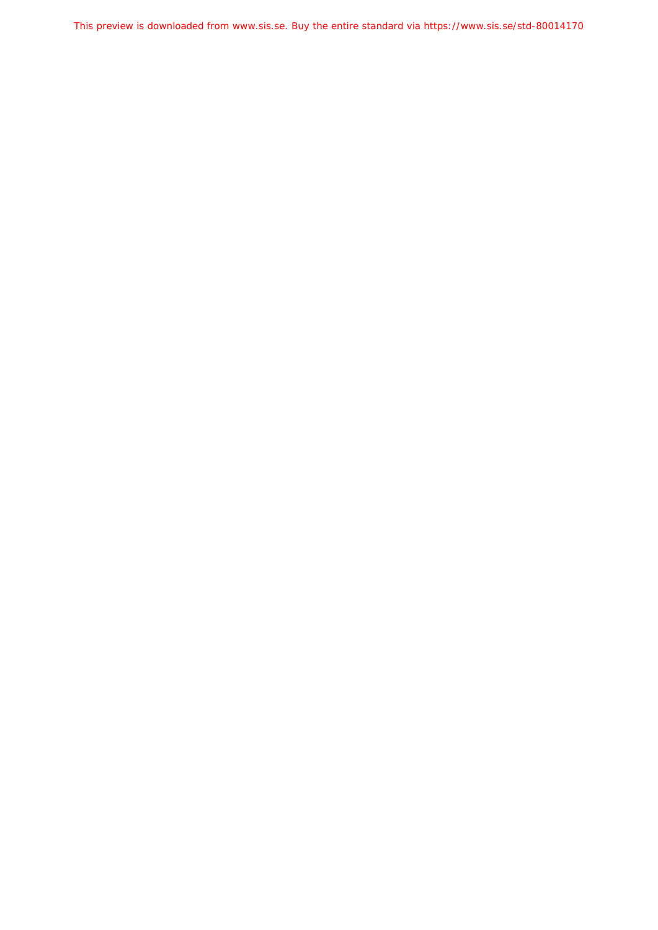This preview is downloaded from www.sis.se. Buy the entire standard via https://www.sis.se/std-80014170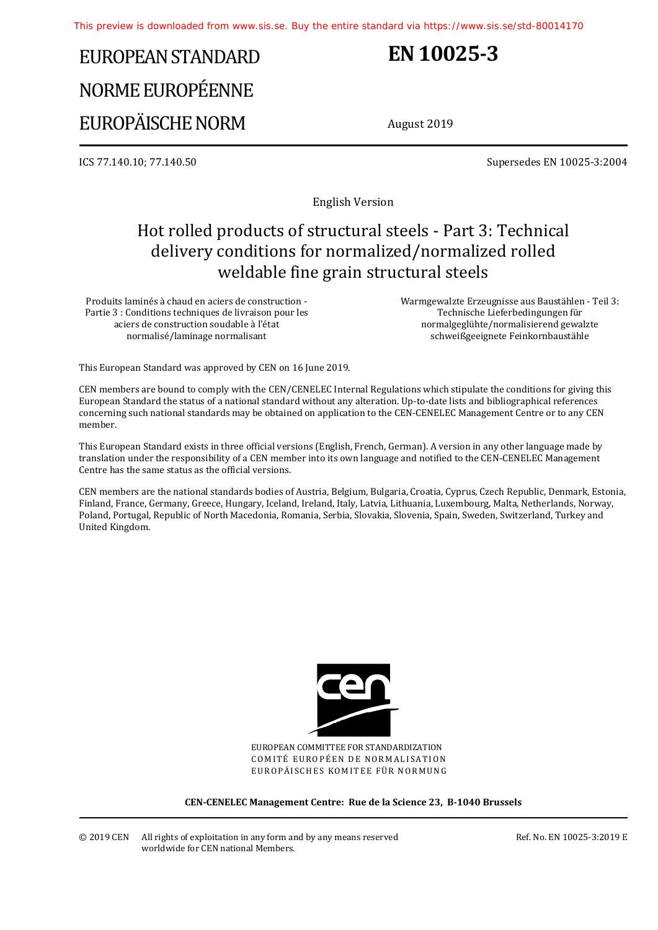# EUROPEAN STANDARD NORME EUROPÉENNE EUROPÄISCHE NORM

# **EN 10025-3**

August 2019

ICS 77.140.10; 77.140.50 Supersedes EN 10025-3:2004

English Version

## Hot rolled products of structural steels - Part 3: Technical delivery conditions for normalized/normalized rolled weldable fine grain structural steels

Produits laminés à chaud en aciers de construction - Partie 3 : Conditions techniques de livraison pour les aciers de construction soudable à l'état normalisé/laminage normalisant

 Warmgewalzte Erzeugnisse aus Baustählen - Teil 3: Technische Lieferbedingungen für normalgeglühte/normalisierend gewalzte schweißgeeignete Feinkornbaustähle

This European Standard was approved by CEN on 16 June 2019.

CEN members are bound to comply with the CEN/CENELEC Internal Regulations which stipulate the conditions for giving this European Standard the status of a national standard without any alteration. Up-to-date lists and bibliographical references concerning such national standards may be obtained on application to the CEN-CENELEC Management Centre or to any CEN member.

This European Standard exists in three official versions (English, French, German). A version in any other language made by translation under the responsibility of a CEN member into its own language and notified to the CEN-CENELEC Management Centre has the same status as the official versions.

CEN members are the national standards bodies of Austria, Belgium, Bulgaria, Croatia, Cyprus, Czech Republic, Denmark, Estonia, Finland, France, Germany, Greece, Hungary, Iceland, Ireland, Italy, Latvia, Lithuania, Luxembourg, Malta, Netherlands, Norway, Poland, Portugal, Republic of North Macedonia, Romania, Serbia, Slovakia, Slovenia, Spain, Sweden, Switzerland, Turkey and United Kingdom.



EUROPEAN COMMITTEE FOR STANDARDIZATION COMITÉ EUROPÉEN DE NORMALISATION EUROPÄISCHES KOMITEE FÜR NORMUNG

**CEN-CENELEC Management Centre: Rue de la Science 23, B-1040 Brussels** 

Ref. No. EN 10025-3:2019 E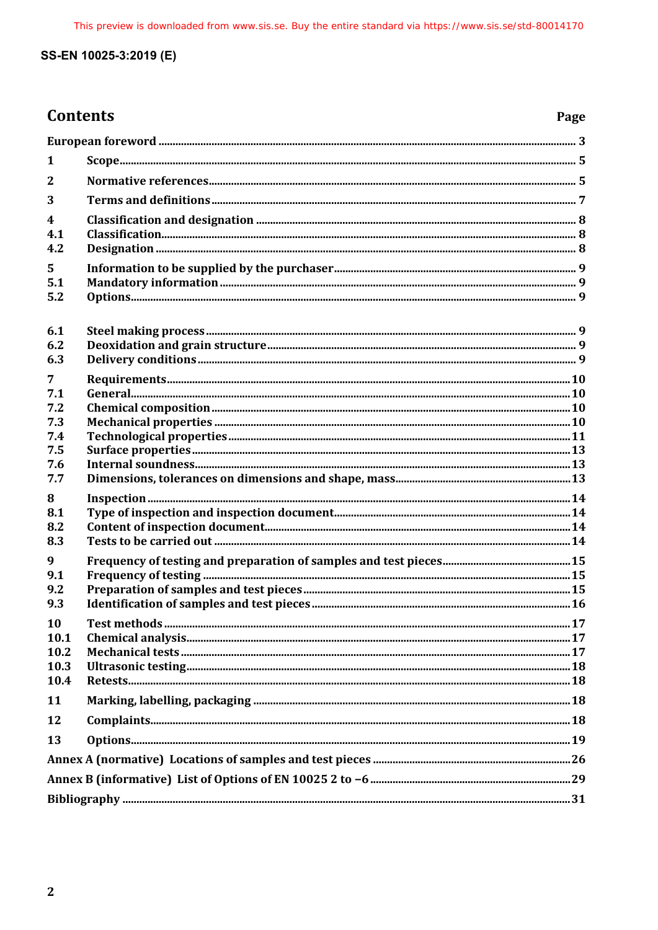## **Contents**

| 1                                                  |  |  |
|----------------------------------------------------|--|--|
| $\overline{2}$                                     |  |  |
| 3                                                  |  |  |
| $\overline{\mathbf{4}}$<br>4.1<br>4.2              |  |  |
| 5<br>5.1<br>5.2                                    |  |  |
| 6.1<br>6.2<br>6.3                                  |  |  |
| 7<br>7.1<br>7.2<br>7.3<br>7.4<br>7.5<br>7.6<br>7.7 |  |  |
| 8<br>8.1<br>8.2<br>8.3                             |  |  |
| 9<br>9.1<br>9.2<br>9.3                             |  |  |
| 10<br>10.1<br>10.2<br>10.3<br>10.4                 |  |  |
| 11                                                 |  |  |
| 12                                                 |  |  |
| 13                                                 |  |  |
|                                                    |  |  |
|                                                    |  |  |
|                                                    |  |  |
|                                                    |  |  |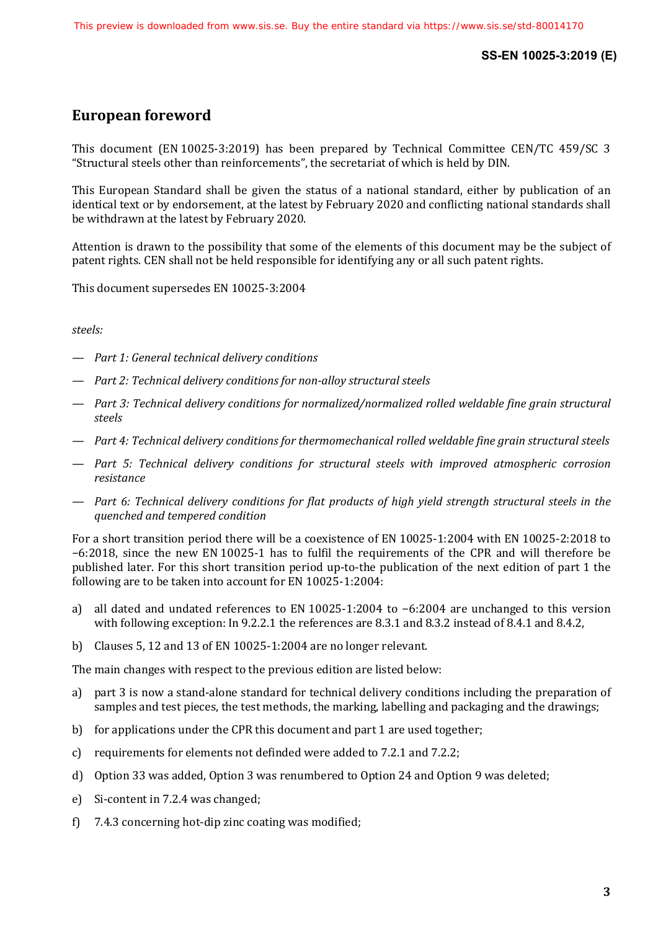## **European foreword**

This document (EN 10025-3:2019) has been prepared by Technical Committee CEN/TC 459/SC 3 "Structural steels other than reinforcements", the secretariat of which is held by DIN.

This European Standard shall be given the status of a national standard, either by publication of an identical text or by endorsement, at the latest by February 2020 and conflicting national standards shall be withdrawn at the latest by February 2020.

Attention is drawn to the possibility that some of the elements of this document may be the subject of patent rights. CEN shall not be held responsible for identifying any or all such patent rights.

This document supersedes EN 10025-3:2004

*steels:*

- *Part 1: General technical delivery conditions*
- *Part 2: Technical delivery conditions for non-alloy structural steels*
- *Part 3: Technical delivery conditions for normalized/normalized rolled weldable fine grain structural steels*
- *Part 4: Technical delivery conditions for thermomechanical rolled weldable fine grain structural steels*
- *Part 5: Technical delivery conditions for structural steels with improved atmospheric corrosion resistance*
- *Part 6: Technical delivery conditions for flat products of high yield strength structural steels in the quenched and tempered condition*

For a short transition period there will be a coexistence of EN 10025-1:2004 with EN 10025-2:2018 to −6:2018, since the new EN 10025-1 has to fulfil the requirements of the CPR and will therefore be published later. For this short transition period up-to-the publication of the next edition of part 1 the following are to be taken into account for EN 10025-1:2004:

- a) all dated and undated references to EN 10025-1:2004 to −6:2004 are unchanged to this version with following exception: In 9.2.2.1 the references are 8.3.1 and 8.3.2 instead of 8.4.1 and 8.4.2.
- b) Clauses 5, 12 and 13 of EN 10025-1:2004 are no longer relevant.

The main changes with respect to the previous edition are listed below:

- a) part 3 is now a stand-alone standard for technical delivery conditions including the preparation of samples and test pieces, the test methods, the marking, labelling and packaging and the drawings;
- b) for applications under the CPR this document and part 1 are used together;
- c) requirements for elements not definded were added to 7.2.1 and 7.2.2;
- d) Option 33 was added, Option 3 was renumbered to Option 24 and Option 9 was deleted;
- e) Si-content in 7.2.4 was changed;
- f) 7.4.3 concerning hot-dip zinc coating was modified;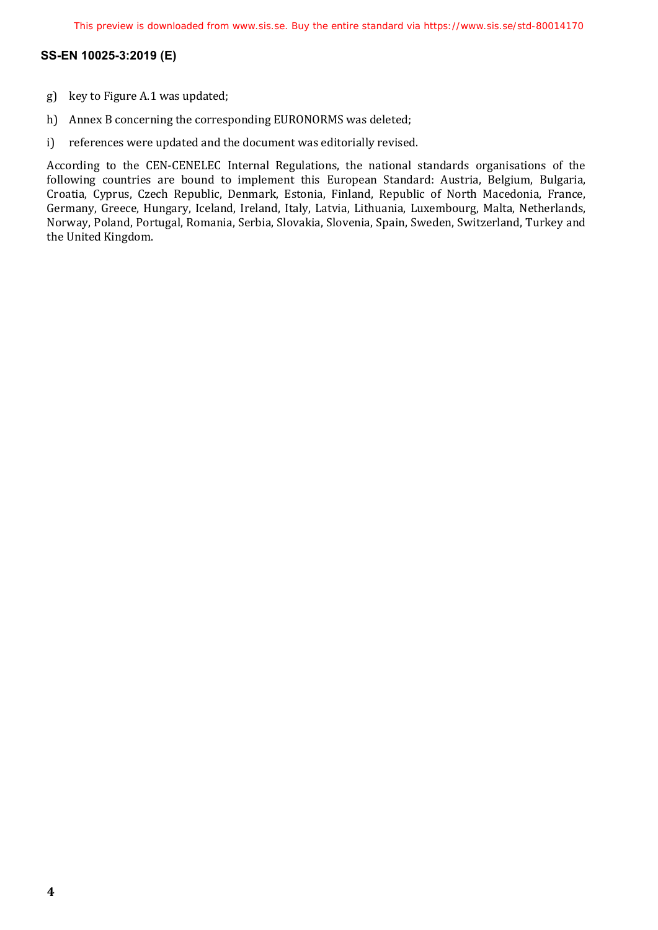- g) key to Figure A.1 was updated;
- h) Annex B concerning the corresponding EURONORMS was deleted;
- i) references were updated and the document was editorially revised.

According to the CEN-CENELEC Internal Regulations, the national standards organisations of the following countries are bound to implement this European Standard: Austria, Belgium, Bulgaria, Croatia, Cyprus, Czech Republic, Denmark, Estonia, Finland, Republic of North Macedonia, France, Germany, Greece, Hungary, Iceland, Ireland, Italy, Latvia, Lithuania, Luxembourg, Malta, Netherlands, Norway, Poland, Portugal, Romania, Serbia, Slovakia, Slovenia, Spain, Sweden, Switzerland, Turkey and the United Kingdom.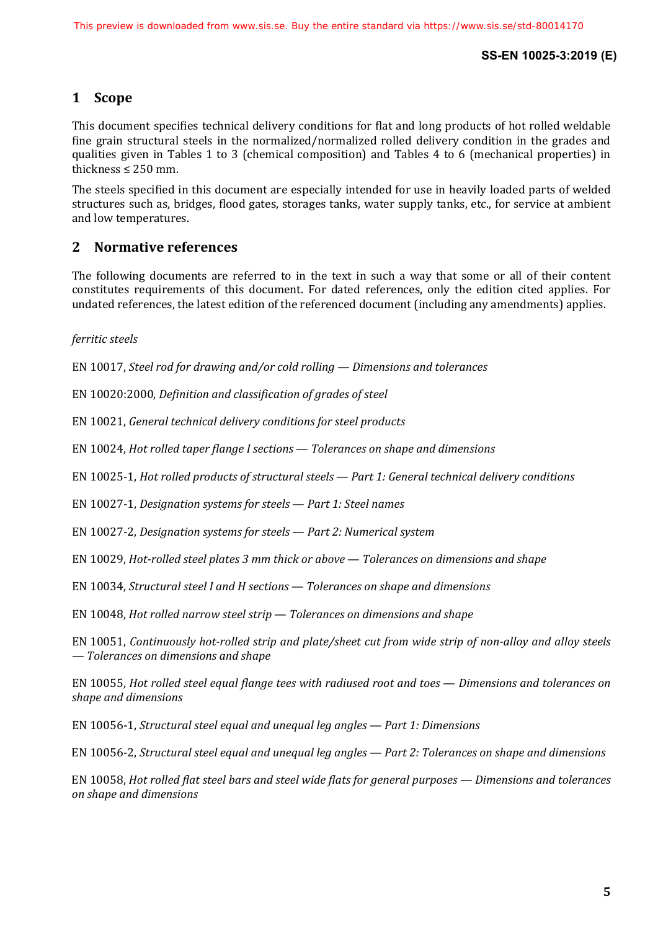## **1 Scope**

This document specifies technical delivery conditions for flat and long products of hot rolled weldable fine grain structural steels in the normalized/normalized rolled delivery condition in the grades and qualities given in Tables 1 to 3 (chemical composition) and Tables 4 to 6 (mechanical properties) in thickness  $\leq 250$  mm.

The steels specified in this document are especially intended for use in heavily loaded parts of welded structures such as, bridges, flood gates, storages tanks, water supply tanks, etc., for service at ambient and low temperatures.

## **2 Normative references**

The following documents are referred to in the text in such a way that some or all of their content constitutes requirements of this document. For dated references, only the edition cited applies. For undated references, the latest edition of the referenced document (including any amendments) applies.

*ferritic steels*

EN 10017, *Steel rod for drawing and/or cold rolling — Dimensions and tolerances*

EN 10020:2000, *Definition and classification of grades of steel*

EN 10021, *General technical delivery conditions for steel products*

EN 10024, *Hot rolled taper flange I sections* — *Tolerances on shape and dimensions*

EN 10025-1, *Hot rolled products of structural steels* — *Part 1: General technical delivery conditions*

EN 10027-1, *Designation systems for steels* — *Part 1: Steel names*

EN 10027-2, *Designation systems for steels* — *Part 2: Numerical system*

EN 10029, *Hot-rolled steel plates 3 mm thick or above* — *Tolerances on dimensions and shape*

EN 10034, *Structural steel I and H sections* — *Tolerances on shape and dimensions*

EN 10048, *Hot rolled narrow steel strip* — *Tolerances on dimensions and shape*

EN 10051, *Continuously hot-rolled strip and plate/sheet cut from wide strip of non-alloy and alloy steels — Tolerances on dimensions and shape*

EN 10055, *Hot rolled steel equal flange tees with radiused root and toes* — *Dimensions and tolerances on shape and dimensions*

EN 10056-1, *Structural steel equal and unequal leg angles* — *Part 1: Dimensions*

EN 10056-2, *Structural steel equal and unequal leg angles* — *Part 2: Tolerances on shape and dimensions*

EN 10058, *Hot rolled flat steel bars and steel wide flats for general purposes* — *Dimensions and tolerances on shape and dimensions*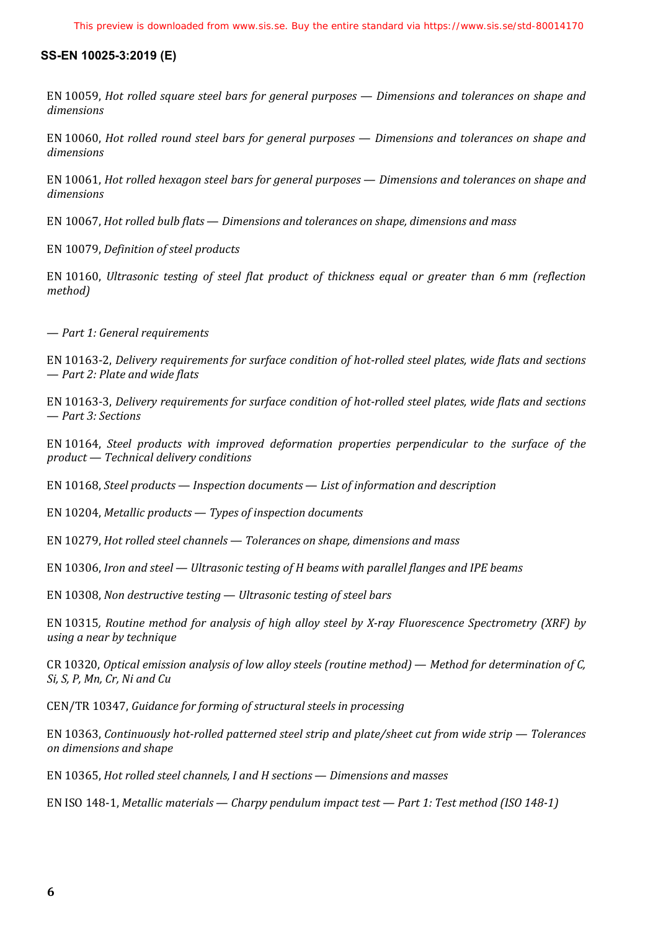EN 10059, *Hot rolled square steel bars for general purposes* — *Dimensions and tolerances on shape and dimensions*

EN 10060, *Hot rolled round steel bars for general purposes* — *Dimensions and tolerances on shape and dimensions*

EN 10061, *Hot rolled hexagon steel bars for general purposes* — *Dimensions and tolerances on shape and dimensions*

EN 10067, *Hot rolled bulb flats* — *Dimensions and tolerances on shape, dimensions and mass*

EN 10079, *Definition of steel products*

EN 10160, *Ultrasonic testing of steel flat product of thickness equal or greater than 6 mm (reflection method)*

— *Part 1: General requirements*

EN 10163-2, *Delivery requirements for surface condition of hot-rolled steel plates, wide flats and sections*  — *Part 2: Plate and wide flats*

EN 10163-3, *Delivery requirements for surface condition of hot-rolled steel plates, wide flats and sections*  — *Part 3: Sections*

EN 10164, *Steel products with improved deformation properties perpendicular to the surface of the product* — *Technical delivery conditions*

EN 10168, *Steel products* — *Inspection documents* — *List of information and description*

EN 10204, *Metallic products* — *Types of inspection documents*

EN 10279, *Hot rolled steel channels* — *Tolerances on shape, dimensions and mass*

EN 10306, *Iron and steel* — *Ultrasonic testing of H beams with parallel flanges and IPE beams*

EN 10308, *Non destructive testing* — *Ultrasonic testing of steel bars*

EN 10315*, Routine method for analysis of high alloy steel by X-ray Fluorescence Spectrometry (XRF) by using a near by technique*

CR 10320, *Optical emission analysis of low alloy steels (routine method)* — *Method for determination of C, Si, S, P, Mn, Cr, Ni and Cu*

CEN/TR 10347, *Guidance for forming of structural steels in processing*

EN 10363, *Continuously hot-rolled patterned steel strip and plate/sheet cut from wide strip* — *Tolerances on dimensions and shape*

EN 10365, *Hot rolled steel channels, I and H sections* — *Dimensions and masses*

EN ISO 148-1, *Metallic materials* — *Charpy pendulum impact test* — *Part 1: Test method (ISO 148-1)*